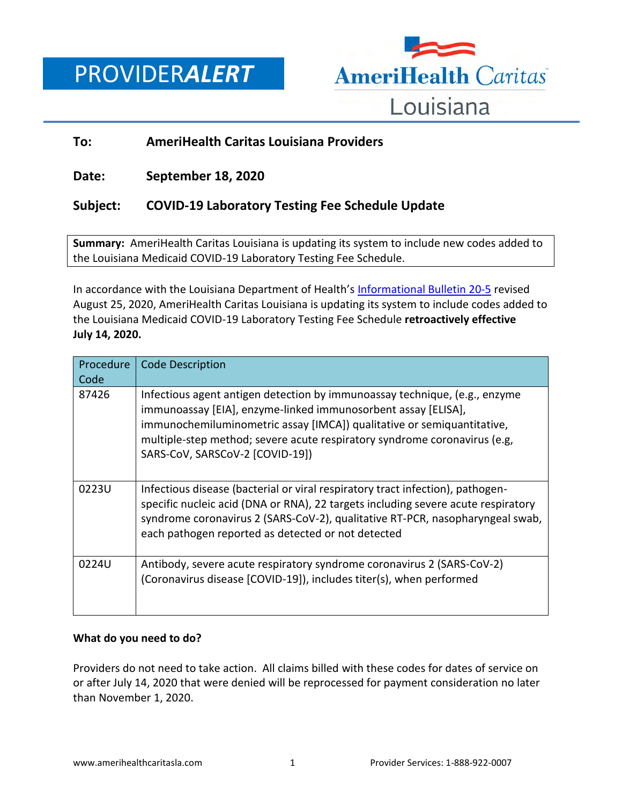# PROVIDER*ALERT*



## **To: AmeriHealth Caritas Louisiana Providers**

**Date: September 18, 2020**

## **Subject: COVID-19 Laboratory Testing Fee Schedule Update**

**Summary:** AmeriHealth Caritas Louisiana is updating its system to include new codes added to the Louisiana Medicaid COVID-19 Laboratory Testing Fee Schedule.

In accordance with the Louisiana Department of Health's [Informational Bulletin 20-5](https://ldh.la.gov/index.cfm/page/3900) revised August 25, 2020, AmeriHealth Caritas Louisiana is updating its system to include codes added to the Louisiana Medicaid COVID-19 Laboratory Testing Fee Schedule **retroactively effective July 14, 2020.**

| Procedure<br>Code | <b>Code Description</b>                                                                                                                                                                                                                                                                                                               |
|-------------------|---------------------------------------------------------------------------------------------------------------------------------------------------------------------------------------------------------------------------------------------------------------------------------------------------------------------------------------|
| 87426             | Infectious agent antigen detection by immunoassay technique, (e.g., enzyme<br>immunoassay [EIA], enzyme-linked immunosorbent assay [ELISA],<br>immunochemiluminometric assay [IMCA]) qualitative or semiquantitative,<br>multiple-step method; severe acute respiratory syndrome coronavirus (e.g.<br>SARS-CoV, SARSCoV-2 [COVID-19]) |
| 0223U             | Infectious disease (bacterial or viral respiratory tract infection), pathogen-<br>specific nucleic acid (DNA or RNA), 22 targets including severe acute respiratory<br>syndrome coronavirus 2 (SARS-CoV-2), qualitative RT-PCR, nasopharyngeal swab,<br>each pathogen reported as detected or not detected                            |
| 0224U             | Antibody, severe acute respiratory syndrome coronavirus 2 (SARS-CoV-2)<br>(Coronavirus disease [COVID-19]), includes titer(s), when performed                                                                                                                                                                                         |

### **What do you need to do?**

Providers do not need to take action. All claims billed with these codes for dates of service on or after July 14, 2020 that were denied will be reprocessed for payment consideration no later than November 1, 2020.